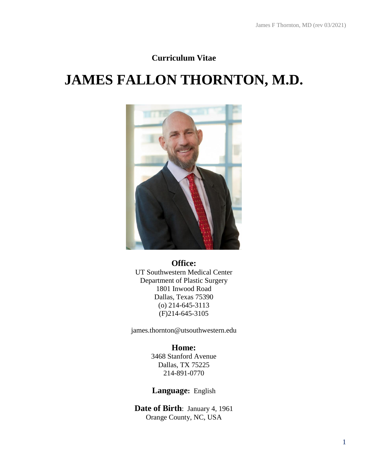## **Curriculum Vitae**

# **JAMES FALLON THORNTON, M.D.**



## **Office:** UT Southwestern Medical Center Department of Plastic Surgery 1801 Inwood Road Dallas, Texas 75390 (o) 214-645-3113 (F)214-645-3105

james.thornton@utsouthwestern.edu

## **Home:**

3468 Stanford Avenue Dallas, TX 75225 214-891-0770

## **Language:** English

**Date of Birth**: January 4, 1961 Orange County, NC, USA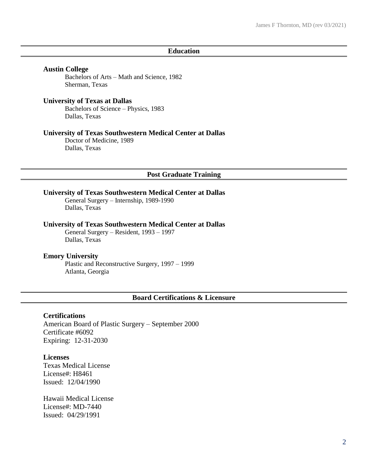#### **Education**

#### **Austin College**

Bachelors of Arts – Math and Science, 1982 Sherman, Texas

#### **University of Texas at Dallas**

Bachelors of Science – Physics, 1983 Dallas, Texas

## **University of Texas Southwestern Medical Center at Dallas**

Doctor of Medicine, 1989 Dallas, Texas

#### **Post Graduate Training**

## **University of Texas Southwestern Medical Center at Dallas**

General Surgery – Internship, 1989-1990 Dallas, Texas

#### **University of Texas Southwestern Medical Center at Dallas**

General Surgery – Resident, 1993 – 1997 Dallas, Texas

#### **Emory University**

Plastic and Reconstructive Surgery, 1997 – 1999 Atlanta, Georgia

#### **Board Certifications & Licensure**

#### **Certifications**

American Board of Plastic Surgery – September 2000 Certificate #6092 Expiring: 12-31-2030

## **Licenses**

Texas Medical License License#: H8461 Issued: 12/04/1990

Hawaii Medical License License#: MD-7440 Issued: 04/29/1991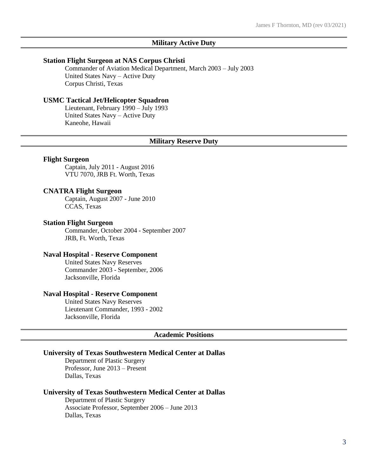#### **Military Active Duty**

#### **Station Flight Surgeon at NAS Corpus Christi**

Commander of Aviation Medical Department, March 2003 – July 2003 United States Navy – Active Duty Corpus Christi, Texas

#### **USMC Tactical Jet/Helicopter Squadron**

Lieutenant, February 1990 – July 1993 United States Navy – Active Duty Kaneohe, Hawaii

#### **Military Reserve Duty**

#### **Flight Surgeon**

Captain, July 2011 - August 2016 VTU 7070, JRB Ft. Worth, Texas

#### **CNATRA Flight Surgeon**

Captain, August 2007 - June 2010 CCAS, Texas

#### **Station Flight Surgeon**

Commander, October 2004 - September 2007 JRB, Ft. Worth, Texas

#### **Naval Hospital - Reserve Component**

United States Navy Reserves Commander 2003 - September, 2006 Jacksonville, Florida

#### **Naval Hospital - Reserve Component**

United States Navy Reserves Lieutenant Commander, 1993 - 2002 Jacksonville, Florida

#### **Academic Positions**

#### **University of Texas Southwestern Medical Center at Dallas**

Department of Plastic Surgery Professor, June 2013 – Present Dallas, Texas

#### **University of Texas Southwestern Medical Center at Dallas**

Department of Plastic Surgery Associate Professor, September 2006 – June 2013 Dallas, Texas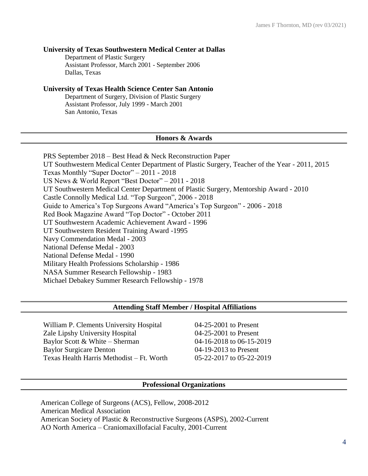## **University of Texas Southwestern Medical Center at Dallas**

Department of Plastic Surgery Assistant Professor, March 2001 - September 2006 Dallas, Texas

## **University of Texas Health Science Center San Antonio**

Department of Surgery, Division of Plastic Surgery Assistant Professor, July 1999 - March 2001 San Antonio, Texas

## **Honors & Awards**

PRS September 2018 – Best Head & Neck Reconstruction Paper UT Southwestern Medical Center Department of Plastic Surgery, Teacher of the Year - 2011, 2015 Texas Monthly "Super Doctor" – 2011 - 2018 US News & World Report "Best Doctor" – 2011 - 2018 UT Southwestern Medical Center Department of Plastic Surgery, Mentorship Award - 2010 Castle Connolly Medical Ltd. "Top Surgeon", 2006 - 2018 Guide to America's Top Surgeons Award "America's Top Surgeon" - 2006 - 2018 Red Book Magazine Award "Top Doctor" - October 2011 UT Southwestern Academic Achievement Award - 1996 UT Southwestern Resident Training Award -1995 Navy Commendation Medal - 2003 National Defense Medal - 2003 National Defense Medal - 1990 Military Health Professions Scholarship - 1986 NASA Summer Research Fellowship - 1983 Michael Debakey Summer Research Fellowship - 1978

## **Attending Staff Member / Hospital Affiliations**

William P. Clements University Hospital 04-25-2001 to Present Zale Lipshy University Hospital 04-25-2001 to Present Baylor Scott & White – Sherman 04-16-2018 to 06-15-2019 Baylor Surgicare Denton 04-19-2013 to Present Texas Health Harris Methodist – Ft. Worth 05-22-2017 to 05-22-2019

## **Professional Organizations**

American College of Surgeons (ACS), Fellow, 2008-2012 American Medical Association American Society of Plastic & Reconstructive Surgeons (ASPS), 2002-Current AO North America – Craniomaxillofacial Faculty, 2001-Current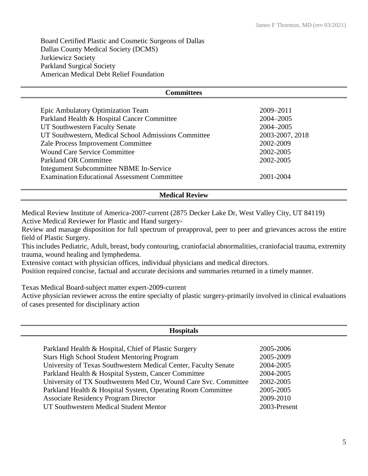Board Certified Plastic and Cosmetic Surgeons of Dallas Dallas County Medical Society (DCMS) Jurkiewicz Society Parkland Surgical Society American Medical Debt Relief Foundation

| Committees                                           |                 |
|------------------------------------------------------|-----------------|
|                                                      |                 |
| Epic Ambulatory Optimization Team                    | 2009-2011       |
| Parkland Health & Hospital Cancer Committee          | 2004–2005       |
| UT Southwestern Faculty Senate                       | 2004-2005       |
| UT Southwestern, Medical School Admissions Committee | 2003-2007, 2018 |
| Zale Process Improvement Committee                   | 2002-2009       |
| <b>Wound Care Service Committee</b>                  | 2002-2005       |
| <b>Parkland OR Committee</b>                         | 2002-2005       |
| Integument Subcommittee NBME In-Service              |                 |
| <b>Examination Educational Assessment Committee</b>  | 2001-2004       |

## **Medical Review**

Medical Review Institute of America-2007-current (2875 Decker Lake Dr, West Valley City, UT 84119) Active Medical Reviewer for Plastic and Hand surgery-

Review and manage disposition for full spectrum of preapproval, peer to peer and grievances across the entire field of Plastic Surgery.

This includes Pediatric, Adult, breast, body contouring, craniofacial abnormalities, craniofacial trauma, extremity trauma, wound healing and lymphedema.

Extensive contact with physician offices, individual physicians and medical directors.

Position required concise, factual and accurate decisions and summaries returned in a timely manner.

Texas Medical Board-subject matter expert-2009-current

Active physician reviewer across the entire specialty of plastic surgery-primarily involved in clinical evaluations of cases presented for disciplinary action

| <b>Hospitals</b>                                                 |              |  |
|------------------------------------------------------------------|--------------|--|
|                                                                  |              |  |
| Parkland Health & Hospital, Chief of Plastic Surgery             | 2005-2006    |  |
| <b>Stars High School Student Mentoring Program</b>               | 2005-2009    |  |
| University of Texas Southwestern Medical Center, Faculty Senate  | 2004-2005    |  |
| Parkland Health & Hospital System, Cancer Committee              | 2004-2005    |  |
| University of TX Southwestern Med Ctr, Wound Care Svc. Committee | 2002-2005    |  |
| Parkland Health & Hospital System, Operating Room Committee      | 2005-2005    |  |
| <b>Associate Residency Program Director</b>                      | 2009-2010    |  |
| UT Southwestern Medical Student Mentor                           | 2003-Present |  |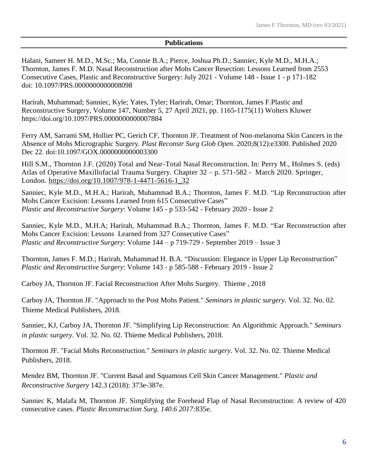## **Publications**

Halani, Sameer H. M.D., M.Sc.; Ma, Connie B.A.; Pierce, Joshua Ph.D.; Sanniec, Kyle M.D., M.H.A.; Thornton, James F. M.D. Nasal Reconstruction after Mohs Cancer Resection: Lessons Learned from 2553 Consecutive Cases, Plastic and Reconstructive Surgery: July 2021 - Volume 148 - Issue 1 - p 171-182 doi: 10.1097/PRS.0000000000008098

[Harirah, Muhammad;](https://www.ingentaconnect.com/search;jsessionid=74bhi2aoo9tc.x-ic-live-01?option2=author&value2=Harirah,+Muhammad) [Sanniec, Kyle;](https://www.ingentaconnect.com/search;jsessionid=74bhi2aoo9tc.x-ic-live-01?option2=author&value2=Sanniec,+Kyle) [Yates, Tyler;](https://www.ingentaconnect.com/search;jsessionid=74bhi2aoo9tc.x-ic-live-01?option2=author&value2=Yates,+Tyler) [Harirah, Omar;](https://www.ingentaconnect.com/search;jsessionid=74bhi2aoo9tc.x-ic-live-01?option2=author&value2=Harirah,+Omar) [Thornton, James F.Plastic and](https://www.ingentaconnect.com/search;jsessionid=74bhi2aoo9tc.x-ic-live-01?option2=author&value2=Thornton,+James+F.)  [Reconstructive Surgery,](https://www.ingentaconnect.com/content/wk/prs;jsessionid=74bhi2aoo9tc.x-ic-live-01) Volume 147, Number 5, 27 April 2021, pp. 1165-1175(11) [Wolters Kluwer](https://www.ingentaconnect.com/content/wk;jsessionid=74bhi2aoo9tc.x-ic-live-01) <https://doi.org/10.1097/PRS.0000000000007884>

Ferry AM, Sarrami SM, Hollier PC, Gerich CF, Thornton JF. Treatment of Non-melanoma Skin Cancers in the Absence of Mohs Micrographic Surgery. *Plast Reconstr Surg Glob Open*. 2020;8(12):e3300. Published 2020 Dec 22. doi:10.1097/GOX.0000000000003300

Hill S.M., Thornton J.F. (2020) Total and Near-Total Nasal Reconstruction. In: Perry M., Holmes S. (eds) Atlas of Operative Maxillofacial Trauma Surgery. Chapter 32 – p. 571-582 - March 2020. Springer, London. [https://doi.org/10.1007/978-1-4471-5616-1\\_32](https://doi.org/10.1007/978-1-4471-5616-1_32)

Sanniec, Kyle M.D., M.H.A.; Harirah, Muhammad B.A.; Thornton, James F. M.D. "Lip Reconstruction after Mohs Cancer Excision: Lessons Learned from 615 Consecutive Cases" *Plastic and Reconstructive Surgery*: Volume 145 - p 533-542 - [February 2020 -](https://journals.lww.com/plasreconsurg/pages/currenttoc.aspx) Issue 2

Sanniec, Kyle M.D., M.H.A; Harirah, Muhammad B.A.; Thornton, James F. M.D. "Ear Reconstruction after Mohs Cancer Excision: Lessons Learned from 327 Consecutive Cases" *Plastic and Reconstructive Surgery*: Volume 144 – p 719-729 - September 2019 – Issue 3

Thornton, James F. M.D.; Harirah, Muhammad H. B.A. "Discussion: Elegance in Upper Lip Reconstruction" *Plastic and Reconstructive Surgery*: Volume 143 - p 585-588 - [February 2019 -](https://cdn.journals.lww.com/plasreconsurg/toc/2019/02000) Issue 2

Carboy JA, Thornton JF. Facial Reconstruction After Mohs Surgery. Thieme , 2018

Carboy JA, Thornton JF. "Approach to the Post Mohs Patient." *Seminars in plastic surgery*. Vol. 32. No. 02. Thieme Medical Publishers, 2018.

Sanniec, KJ, Carboy JA, Thornton JF. "Simplifying Lip Reconstruction: An Algorithmic Approach." *Seminars in plastic surgery*. Vol. 32. No. 02. Thieme Medical Publishers, 2018.

Thornton JF. "Facial Mohs Reconstruction." *Seminars in plastic surgery*. Vol. 32. No. 02. Thieme Medical Publishers, 2018.

Mendez BM, Thornton JF. "Current Basal and Squamous Cell Skin Cancer Management." *Plastic and Reconstructive Surgery* 142.3 (2018): 373e-387e.

Sanniec K, Malafa M, Thornton JF. Simplifying the Forehead Flap of Nasal Reconstruction: A review of 420 consecutive cases. *Plastic Reconstruction Surg. 140.6 2017:*835e.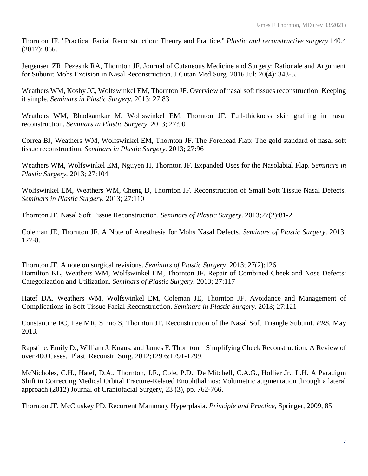Thornton JF. "Practical Facial Reconstruction: Theory and Practice." *Plastic and reconstructive surgery* 140.4 (2017): 866.

Jergensen ZR, Pezeshk RA, Thornton JF. Journal of Cutaneous Medicine and Surgery: Rationale and Argument for Subunit Mohs Excision in Nasal Reconstruction. J Cutan Med Surg. 2016 Jul; 20(4): 343-5.

Weathers WM, Koshy JC, Wolfswinkel EM, Thornton JF. Overview of nasal soft tissues reconstruction: Keeping it simple. *Seminars in Plastic Surgery.* 2013; 27:83

Weathers WM, Bhadkamkar M, Wolfswinkel EM, Thornton JF. Full-thickness skin grafting in nasal reconstruction. *Seminars in Plastic Surgery.* 2013; 27:90

Correa BJ, Weathers WM, Wolfswinkel EM, Thornton JF. The Forehead Flap: The gold standard of nasal soft tissue reconstruction. *Seminars in Plastic Surgery.* 2013; 27:96

Weathers WM, Wolfswinkel EM, Nguyen H, Thornton JF. Expanded Uses for the Nasolabial Flap. *Seminars in Plastic Surgery.* 2013; 27:104

Wolfswinkel EM, Weathers WM, Cheng D, Thornton JF. Reconstruction of Small Soft Tissue Nasal Defects. *Seminars in Plastic Surgery.* 2013; 27:110

Thornton JF. Nasal Soft Tissue Reconstruction. *Seminars of Plastic Surgery*. 2013;27(2):81-2.

Coleman JE, Thornton JF. A Note of Anesthesia for Mohs Nasal Defects. *Seminars of Plastic Surgery*. 2013; 127-8.

Thornton JF. A note on surgical revisions. *Seminars of Plastic Surgery*. 2013; 27(2):126 Hamilton KL, Weathers WM, Wolfswinkel EM, Thornton JF. Repair of Combined Cheek and Nose Defects: Categorization and Utilization. *Seminars of Plastic Surgery.* 2013; 27:117

Hatef DA, Weathers WM, Wolfswinkel EM, Coleman JE, Thornton JF. Avoidance and Management of Complications in Soft Tissue Facial Reconstruction. *Seminars in Plastic Surgery.* 2013; 27:121

Constantine FC, Lee MR, Sinno S, Thornton JF, Reconstruction of the Nasal Soft Triangle Subunit. *PRS.* May 2013.

Rapstine, Emily D., William J. Knaus, and James F. Thornton. Simplifying Cheek Reconstruction: A Review of over 400 Cases. Plast. Reconstr. Surg. 2012;129.6:1291-1299.

McNicholes, C.H., Hatef, D.A., Thornton, J.F., Cole, P.D., De Mitchell, C.A.G., Hollier Jr., L.H. A Paradigm Shift in Correcting Medical Orbital Fracture-Related Enophthalmos: Volumetric augmentation through a lateral approach (2012) Journal of Craniofacial Surgery, 23 (3), pp. 762-766.

Thornton JF, McCluskey PD. Recurrent Mammary Hyperplasia. *Principle and Practice,* Springer, 2009, 85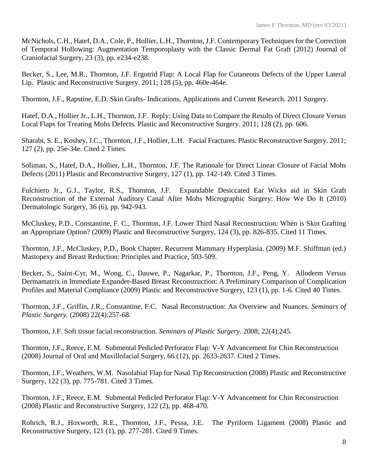McNichols, C.H., Hatef, D.A., Cole, P., Hollier, L.H., Thornton, J.F. Contemporary Techniques for the Correction of Temporal Hollowing: Augmentation Temporoplasty with the Classic Dermal Fat Graft (2012) Journal of Craniofacial Surgery, 23 (3), pp. e234-e238.

Becker, S., Lee, M.R., Thornton, J.F. Ergotrid Flap: A Local Flap for Cutaneous Defects of the Upper Lateral Lip. Plastic and Reconstructive Surgery. 2011; 128 (5), pp. 460e-464e.

Thornton, J.F., Rapstine, E.D. Skin Grafts- Indications, Applications and Current Research. 2011 Surgery.

Hatef, D.A., Hollier Jr., L.H., Thornton, J.F. Reply: Using Data to Compare the Results of Direct Closure Versus Local Flaps for Treating Mohs Defects. Plastic and Reconstructive Surgery. 2011; 128 (2), pp. 606.

Sharabi, S. E., Koshey, J.C., Thornton, J.F., Hollier, L.H. Facial Fractures. Plastic Reconstructive Surgery. 2011; 127 (2), pp. 25e-34e. Cited 2 Times.

Soliman, S., Hatef, D.A., Hollier, L.H., Thornton, J.F. The Rationale for Direct Linear Closure of Facial Mohs Defects (2011) Plastic and Reconstructive Surgery, 127 (1), pp. 142-149. Cited 3 Times.

Fulchiero Jr., G.J., Taylor, R.S., Thornton, J.F. Expandable Desiccated Ear Wicks aid in Skin Graft Reconstruction of the External Auditory Canal After Mohs Micrographic Surgery: How We Do It (2010) Dermatologic Surgery, 36 (6), pp. 942-943.

McCluskey, P.D., Constantine, F. C., Thornton, J.F. Lower Third Nasal Reconstruction: When is Skin Grafting an Appropriate Option? (2009) Plastic and Reconstructive Surgery, 124 (3), pp. 826-835. Cited 11 Times.

Thornton, J.F., McCluskey, P.D., Book Chapter. Recurrent Mammary Hyperplasia. (2009) M.F. Shiffman (ed.) Mastopexy and Breast Reduction: Principles and Practice, 503-509.

Becker, S., Saint-Cyr, M., Wong, C., Dauwe, P., Nagarkar, P., Thornton, J.F., Peng, Y. Alloderm Versus Dermamatrix in Immediate Expander-Based Breast Reconstruction: A Preliminary Comparison of Complication Profiles and Material Compliance (2009) Plastic and Reconstructive Surgery, 123 (1), pp. 1-6. Cited 40 Times.

Thornton, J.F., Griffin, J.R., Constantine, F.C. Nasal Reconstruction: An Overview and Nuances. *Seminars of Plastic Surgery*. (2008) 22(4):257-68.

Thornton, J.F. Soft tissue facial reconstruction. *Seminars of Plastic Surgery*. 2008; 22(4):245.

Thornton, J.F., Reece, E.M. Submental Pedicled Perforator Flap: V-Y Advancement for Chin Reconstruction (2008) Journal of Oral and Maxillofacial Surgery, 66 (12), pp. 2633-2637. Cited 2 Times.

Thornton, J.F., Weathers, W.M. Nasolabial Flap for Nasal Tip Reconstruction (2008) Plastic and Reconstructive Surgery, 122 (3), pp. 775-781. Cited 3 Times.

Thornton, J.F., Reece, E.M. Submental Pedicled Perforator Flap: V-Y Advancement for Chin Reconstruction (2008) Plastic and Reconstructive Surgery, 122 (2), pp. 468-470.

Rohrich, R.J., Hoxworth, R.E., Thornton, J.F., Pessa, J.E. The Pyriform Ligament (2008) Plastic and Reconstructive Surgery, 121 (1), pp. 277-281. Cited 9 Times.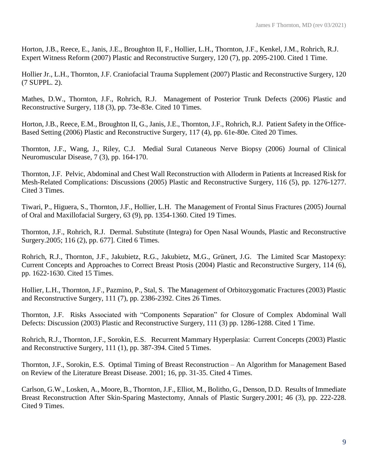Horton, J.B., Reece, E., Janis, J.E., Broughton II, F., Hollier, L.H., Thornton, J.F., Kenkel, J.M., Rohrich, R.J. Expert Witness Reform (2007) Plastic and Reconstructive Surgery, 120 (7), pp. 2095-2100. Cited 1 Time.

Hollier Jr., L.H., Thornton, J.F. Craniofacial Trauma Supplement (2007) Plastic and Reconstructive Surgery, 120 (7 SUPPL. 2).

Mathes, D.W., Thornton, J.F., Rohrich, R.J. Management of Posterior Trunk Defects (2006) Plastic and Reconstructive Surgery, 118 (3), pp. 73e-83e. Cited 10 Times.

Horton, J.B., Reece, E.M., Broughton II, G., Janis, J.E., Thornton, J.F., Rohrich, R.J. Patient Safety in the Office-Based Setting (2006) Plastic and Reconstructive Surgery, 117 (4), pp. 61e-80e. Cited 20 Times.

Thornton, J.F., Wang, J., Riley, C.J. Medial Sural Cutaneous Nerve Biopsy (2006) Journal of Clinical Neuromuscular Disease, 7 (3), pp. 164-170.

Thornton, J.F. Pelvic, Abdominal and Chest Wall Reconstruction with Alloderm in Patients at Increased Risk for Mesh-Related Complications: Discussions (2005) Plastic and Reconstructive Surgery, 116 (5), pp. 1276-1277. Cited 3 Times.

Tiwari, P., Higuera, S., Thornton, J.F., Hollier, L.H. The Management of Frontal Sinus Fractures (2005) Journal of Oral and Maxillofacial Surgery, 63 (9), pp. 1354-1360. Cited 19 Times.

Thornton, J.F., Rohrich, R.J. Dermal. Substitute (Integra) for Open Nasal Wounds, Plastic and Reconstructive Surgery.2005; 116 (2), pp. 677]. Cited 6 Times.

Rohrich, R.J., Thornton, J.F., Jakubietz, R.G., Jakubietz, M.G., Grünert, J.G. The Limited Scar Mastopexy: Current Concepts and Approaches to Correct Breast Ptosis (2004) Plastic and Reconstructive Surgery, 114 (6), pp. 1622-1630. Cited 15 Times.

Hollier, L.H., Thornton, J.F., Pazmino, P., Stal, S. The Management of Orbitozygomatic Fractures (2003) Plastic and Reconstructive Surgery, 111 (7), pp. 2386-2392. Cites 26 Times.

Thornton, J.F. Risks Associated with "Components Separation" for Closure of Complex Abdominal Wall Defects: Discussion (2003) Plastic and Reconstructive Surgery, 111 (3) pp. 1286-1288. Cited 1 Time.

Rohrich, R.J., Thornton, J.F., Sorokin, E.S. Recurrent Mammary Hyperplasia: Current Concepts (2003) Plastic and Reconstructive Surgery, 111 (1), pp. 387-394. Cited 5 Times.

Thornton, J.F., Sorokin, E.S. Optimal Timing of Breast Reconstruction – An Algorithm for Management Based on Review of the Literature Breast Disease. 2001; 16, pp. 31-35. Cited 4 Times.

Carlson, G.W., Losken, A., Moore, B., Thornton, J.F., Elliot, M., Bolitho, G., Denson, D.D. Results of Immediate Breast Reconstruction After Skin-Sparing Mastectomy, Annals of Plastic Surgery.2001; 46 (3), pp. 222-228. Cited 9 Times.